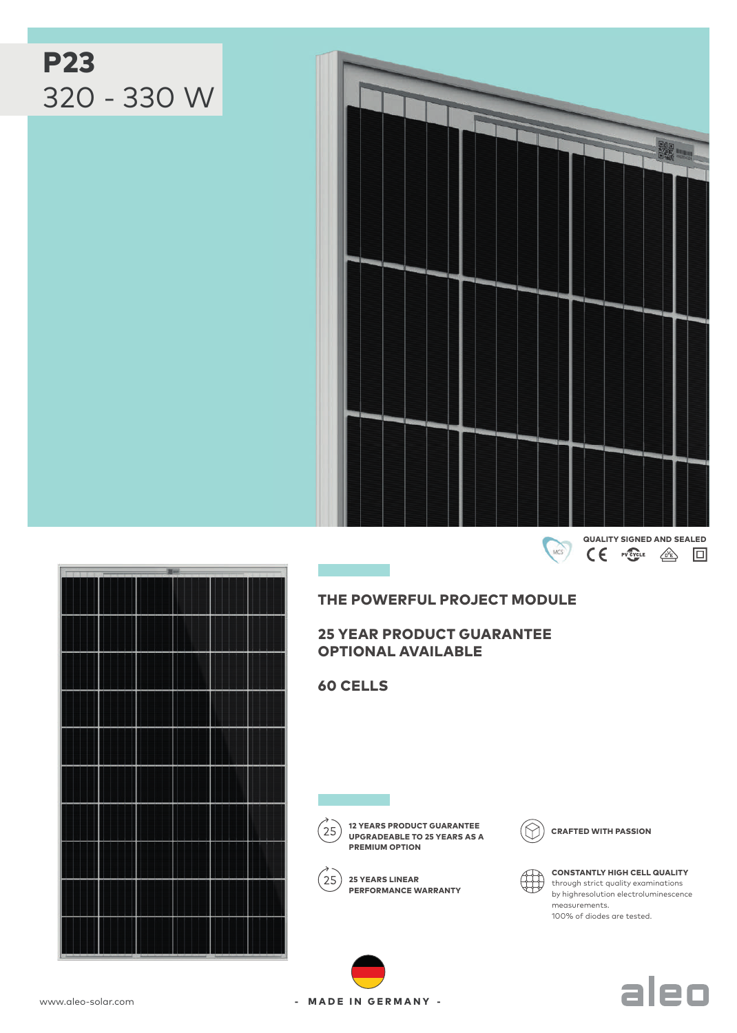# P23 320 - 330 W



## THE POWERFUL PROJECT MODULE

## 25 YEAR PRODUCT GUARANTEE OPTIONAL AVAILABLE

60 CELLS



12 YEARS PRODUCT GUARANTEE<br>UPCRAFTED WITH PASSION UPGRADEABLE TO 25 YEARS AS A PREMIUM OPTION



 $(25)$  25 YEARS LINEAR PERFORMANCE WARRANTY





CONSTANTLY HIGH CELL QUALITY through strict quality examinations by highresolution electroluminescence measurements. 100% of diodes are tested.

aleo



- MADE IN GERMANY -